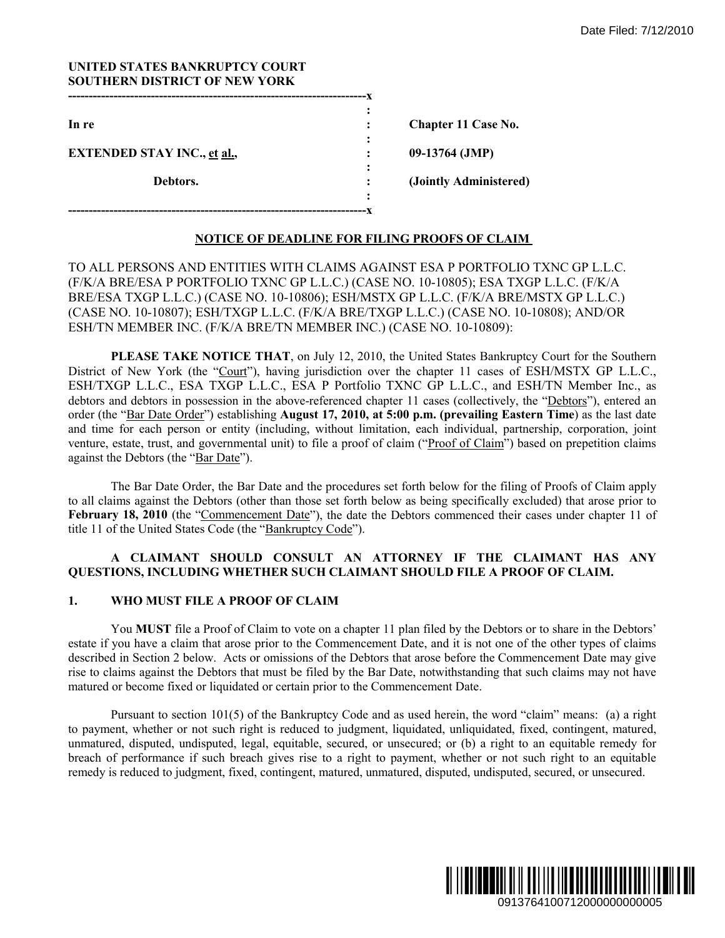| UNITED STATES BANKRUPTCY COURT<br><b>SOUTHERN DISTRICT OF NEW YORK</b> |   |                        |
|------------------------------------------------------------------------|---|------------------------|
|                                                                        |   |                        |
| In re                                                                  | ٠ | Chapter 11 Case No.    |
|                                                                        |   |                        |
| <b>EXTENDED STAY INC., et al.,</b>                                     |   | 09-13764 (JMP)         |
|                                                                        |   |                        |
| Debtors.                                                               |   | (Jointly Administered) |
|                                                                        | ٠ |                        |
|                                                                        |   |                        |

# **NOTICE OF DEADLINE FOR FILING PROOFS OF CLAIM**

TO ALL PERSONS AND ENTITIES WITH CLAIMS AGAINST ESA P PORTFOLIO TXNC GP L.L.C. (F/K/A BRE/ESA P PORTFOLIO TXNC GP L.L.C.) (CASE NO. 10-10805); ESA TXGP L.L.C. (F/K/A BRE/ESA TXGP L.L.C.) (CASE NO. 10-10806); ESH/MSTX GP L.L.C. (F/K/A BRE/MSTX GP L.L.C.) (CASE NO. 10-10807); ESH/TXGP L.L.C. (F/K/A BRE/TXGP L.L.C.) (CASE NO. 10-10808); AND/OR ESH/TN MEMBER INC. (F/K/A BRE/TN MEMBER INC.) (CASE NO. 10-10809):

**PLEASE TAKE NOTICE THAT, on July 12, 2010, the United States Bankruptcy Court for the Southern** District of New York (the "Court"), having jurisdiction over the chapter 11 cases of ESH/MSTX GP L.L.C., ESH/TXGP L.L.C., ESA TXGP L.L.C., ESA P Portfolio TXNC GP L.L.C., and ESH/TN Member Inc., as debtors and debtors in possession in the above-referenced chapter 11 cases (collectively, the "Debtors"), entered an order (the "Bar Date Order") establishing **August 17, 2010, at 5:00 p.m. (prevailing Eastern Time**) as the last date and time for each person or entity (including, without limitation, each individual, partnership, corporation, joint venture, estate, trust, and governmental unit) to file a proof of claim ("Proof of Claim") based on prepetition claims against the Debtors (the "Bar Date"). Date Filed: 7/12/2010<br>
No.<br>
1.AIM<br>
1.COLO TXNC GP L.L.C.<br>
1.COLO TXNC GP L.L.C.<br>
1.COLO TXNC GP L.L.C.<br>
1.COLO TXNC GP L.L.C.<br>
0. 10-10808); AND/OR<br>
9):<br>
1.COLO TOBSON: AND/OR<br>
9):<br>
1.COLO TOBSON: AND/OR<br>
9):<br>
1.COLO TOBSO

The Bar Date Order, the Bar Date and the procedures set forth below for the filing of Proofs of Claim apply to all claims against the Debtors (other than those set forth below as being specifically excluded) that arose prior to February 18, 2010 (the "Commencement Date"), the date the Debtors commenced their cases under chapter 11 of title 11 of the United States Code (the "Bankruptcy Code").

## **A CLAIMANT SHOULD CONSULT AN ATTORNEY IF THE CLAIMANT HAS ANY QUESTIONS, INCLUDING WHETHER SUCH CLAIMANT SHOULD FILE A PROOF OF CLAIM.**

# **1. WHO MUST FILE A PROOF OF CLAIM**

You **MUST** file a Proof of Claim to vote on a chapter 11 plan filed by the Debtors or to share in the Debtors' estate if you have a claim that arose prior to the Commencement Date, and it is not one of the other types of claims described in Section 2 below. Acts or omissions of the Debtors that arose before the Commencement Date may give rise to claims against the Debtors that must be filed by the Bar Date, notwithstanding that such claims may not have matured or become fixed or liquidated or certain prior to the Commencement Date.

 Pursuant to section 101(5) of the Bankruptcy Code and as used herein, the word "claim" means: (a) a right to payment, whether or not such right is reduced to judgment, liquidated, unliquidated, fixed, contingent, matured, unmatured, disputed, undisputed, legal, equitable, secured, or unsecured; or (b) a right to an equitable remedy for breach of performance if such breach gives rise to a right to payment, whether or not such right to an equitable remedy is reduced to judgment, fixed, contingent, matured, unmatured, disputed, undisputed, secured, or unsecured.

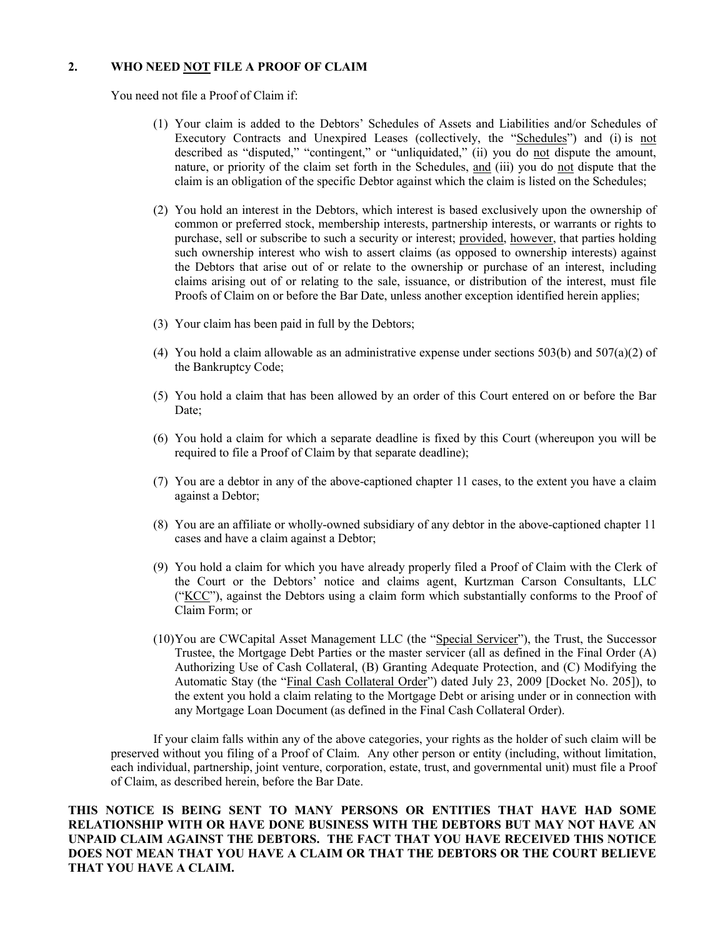# **2. WHO NEED NOT FILE A PROOF OF CLAIM**

You need not file a Proof of Claim if:

- (1) Your claim is added to the Debtors' Schedules of Assets and Liabilities and/or Schedules of Executory Contracts and Unexpired Leases (collectively, the "Schedules") and (i) is not described as "disputed," "contingent," or "unliquidated," (ii) you do not dispute the amount, nature, or priority of the claim set forth in the Schedules, and (iii) you do not dispute that the claim is an obligation of the specific Debtor against which the claim is listed on the Schedules;
- (2) You hold an interest in the Debtors, which interest is based exclusively upon the ownership of common or preferred stock, membership interests, partnership interests, or warrants or rights to purchase, sell or subscribe to such a security or interest; provided, however, that parties holding such ownership interest who wish to assert claims (as opposed to ownership interests) against the Debtors that arise out of or relate to the ownership or purchase of an interest, including claims arising out of or relating to the sale, issuance, or distribution of the interest, must file Proofs of Claim on or before the Bar Date, unless another exception identified herein applies;
- (3) Your claim has been paid in full by the Debtors;
- (4) You hold a claim allowable as an administrative expense under sections  $503(b)$  and  $507(a)(2)$  of the Bankruptcy Code;
- (5) You hold a claim that has been allowed by an order of this Court entered on or before the Bar Date:
- (6) You hold a claim for which a separate deadline is fixed by this Court (whereupon you will be required to file a Proof of Claim by that separate deadline);
- (7) You are a debtor in any of the above-captioned chapter 11 cases, to the extent you have a claim against a Debtor;
- (8) You are an affiliate or wholly-owned subsidiary of any debtor in the above-captioned chapter 11 cases and have a claim against a Debtor;
- (9) You hold a claim for which you have already properly filed a Proof of Claim with the Clerk of the Court or the Debtors' notice and claims agent, Kurtzman Carson Consultants, LLC ("KCC"), against the Debtors using a claim form which substantially conforms to the Proof of Claim Form; or
- (10)You are CWCapital Asset Management LLC (the "Special Servicer"), the Trust, the Successor Trustee, the Mortgage Debt Parties or the master servicer (all as defined in the Final Order (A) Authorizing Use of Cash Collateral, (B) Granting Adequate Protection, and (C) Modifying the Automatic Stay (the "Final Cash Collateral Order") dated July 23, 2009 [Docket No. 205]), to the extent you hold a claim relating to the Mortgage Debt or arising under or in connection with any Mortgage Loan Document (as defined in the Final Cash Collateral Order).

 If your claim falls within any of the above categories, your rights as the holder of such claim will be preserved without you filing of a Proof of Claim. Any other person or entity (including, without limitation, each individual, partnership, joint venture, corporation, estate, trust, and governmental unit) must file a Proof of Claim, as described herein, before the Bar Date.

**THIS NOTICE IS BEING SENT TO MANY PERSONS OR ENTITIES THAT HAVE HAD SOME RELATIONSHIP WITH OR HAVE DONE BUSINESS WITH THE DEBTORS BUT MAY NOT HAVE AN UNPAID CLAIM AGAINST THE DEBTORS. THE FACT THAT YOU HAVE RECEIVED THIS NOTICE DOES NOT MEAN THAT YOU HAVE A CLAIM OR THAT THE DEBTORS OR THE COURT BELIEVE THAT YOU HAVE A CLAIM.**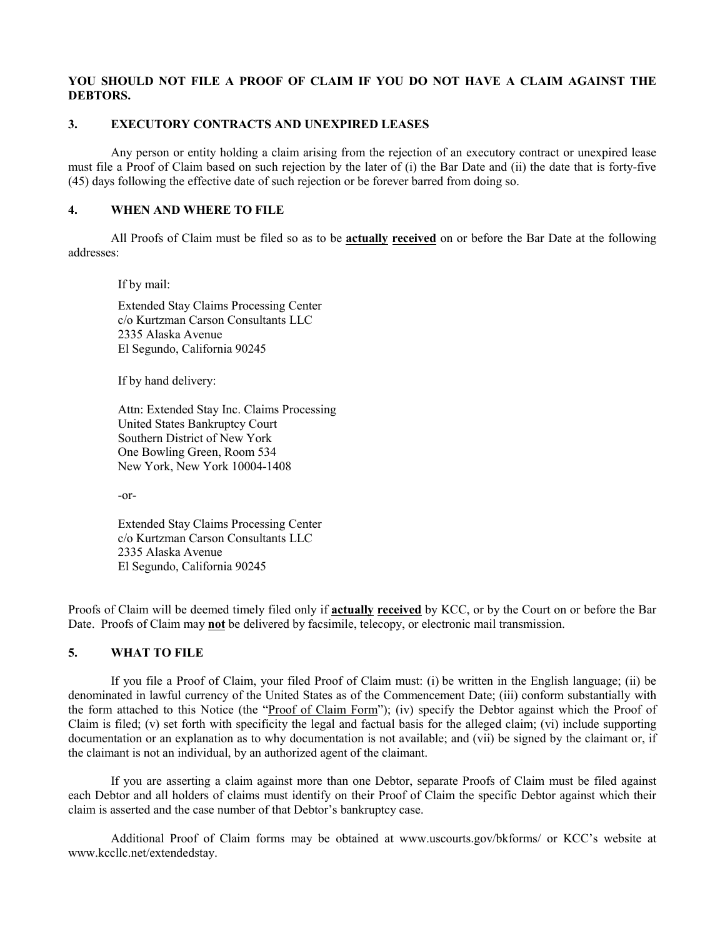# **YOU SHOULD NOT FILE A PROOF OF CLAIM IF YOU DO NOT HAVE A CLAIM AGAINST THE DEBTORS.**

# **3. EXECUTORY CONTRACTS AND UNEXPIRED LEASES**

 Any person or entity holding a claim arising from the rejection of an executory contract or unexpired lease must file a Proof of Claim based on such rejection by the later of (i) the Bar Date and (ii) the date that is forty-five (45) days following the effective date of such rejection or be forever barred from doing so.

# **4. WHEN AND WHERE TO FILE**

 All Proofs of Claim must be filed so as to be **actually received** on or before the Bar Date at the following addresses:

If by mail:

Extended Stay Claims Processing Center c/o Kurtzman Carson Consultants LLC 2335 Alaska Avenue El Segundo, California 90245

If by hand delivery:

Attn: Extended Stay Inc. Claims Processing United States Bankruptcy Court Southern District of New York One Bowling Green, Room 534 New York, New York 10004-1408

-or-

Extended Stay Claims Processing Center c/o Kurtzman Carson Consultants LLC 2335 Alaska Avenue El Segundo, California 90245

Proofs of Claim will be deemed timely filed only if **actually received** by KCC, or by the Court on or before the Bar Date. Proofs of Claim may **not** be delivered by facsimile, telecopy, or electronic mail transmission.

# **5. WHAT TO FILE**

 If you file a Proof of Claim, your filed Proof of Claim must: (i) be written in the English language; (ii) be denominated in lawful currency of the United States as of the Commencement Date; (iii) conform substantially with the form attached to this Notice (the "Proof of Claim Form"); (iv) specify the Debtor against which the Proof of Claim is filed; (v) set forth with specificity the legal and factual basis for the alleged claim; (vi) include supporting documentation or an explanation as to why documentation is not available; and (vii) be signed by the claimant or, if the claimant is not an individual, by an authorized agent of the claimant.

If you are asserting a claim against more than one Debtor, separate Proofs of Claim must be filed against each Debtor and all holders of claims must identify on their Proof of Claim the specific Debtor against which their claim is asserted and the case number of that Debtor's bankruptcy case.

 Additional Proof of Claim forms may be obtained at www.uscourts.gov/bkforms/ or KCC's website at www.kccllc.net/extendedstay.